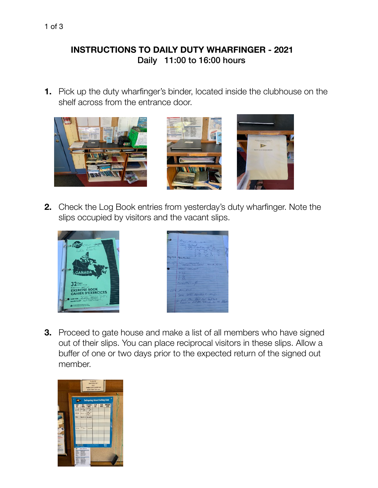## **INSTRUCTIONS TO DAILY DUTY WHARFINGER - 2021** Daily 11:00 to 16:00 hours

**1.** Pick up the duty wharfinger's binder, located inside the clubhouse on the shelf across from the entrance door.



**2.** Check the Log Book entries from yesterday's duty wharfinger. Note the slips occupied by visitors and the vacant slips.





**3.** Proceed to gate house and make a list of all members who have signed out of their slips. You can place reciprocal visitors in these slips. Allow a buffer of one or two days prior to the expected return of the signed out member.

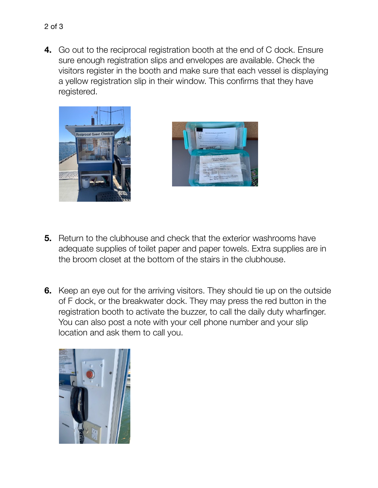visitors register in the booth and make sure that each vessel is displaying a yellow registration slip in their window. This confirms that they have registered.



2 of 3



- **5.** Return to the clubhouse and check that the exterior washrooms have adequate supplies of toilet paper and paper towels. Extra supplies are in the broom closet at the bottom of the stairs in the clubhouse.
- **6.** Keep an eye out for the arriving visitors. They should tie up on the outside of F dock, or the breakwater dock. They may press the red button in the registration booth to activate the buzzer, to call the daily duty wharfinger. You can also post a note with your cell phone number and your slip location and ask them to call you.